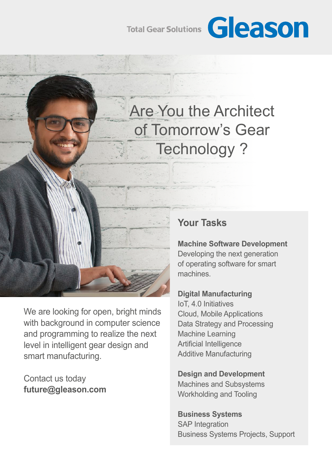# Total Gear Solutions Geason

## Are You the Architect of Tomorrow's Gear Technology ?



We are looking for open, bright minds with background in computer science and programming to realize the next level in intelligent gear design and smart manufacturing.

Contact us today **future@gleason.com**

### **Your Tasks**

**Machine Software Development** Developing the next generation of operating software for smart machines.

#### **Digital Manufacturing**

IoT, 4.0 Initiatives Cloud, Mobile Applications Data Strategy and Processing Machine Learning Artificial Intelligence Additive Manufacturing

**Design and Development**

Machines and Subsystems Workholding and Tooling

#### **Business Systems**

SAP Integration Business Systems Projects, Support